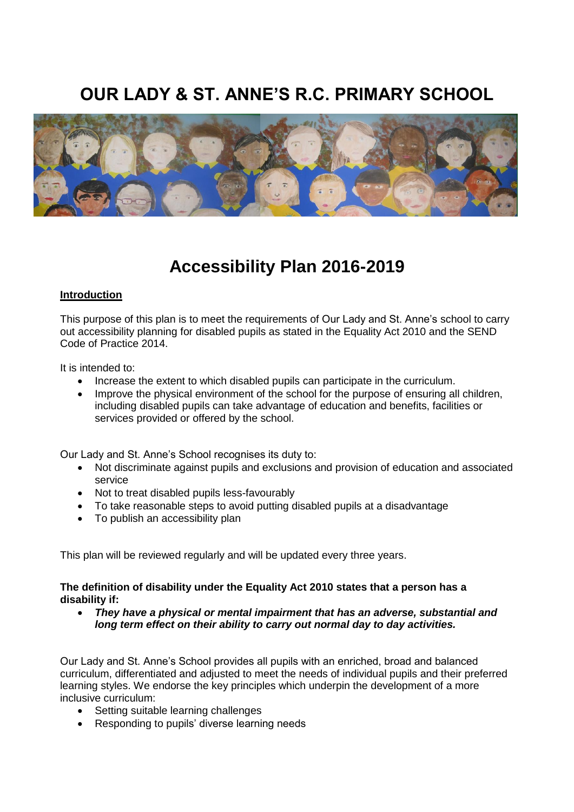# **OUR LADY & ST. ANNE'S R.C. PRIMARY SCHOOL**



## **Accessibility Plan 2016-2019**

## **Introduction**

This purpose of this plan is to meet the requirements of Our Lady and St. Anne's school to carry out accessibility planning for disabled pupils as stated in the Equality Act 2010 and the SEND Code of Practice 2014.

It is intended to:

- Increase the extent to which disabled pupils can participate in the curriculum.
- Improve the physical environment of the school for the purpose of ensuring all children, including disabled pupils can take advantage of education and benefits, facilities or services provided or offered by the school.

Our Lady and St. Anne's School recognises its duty to:

- Not discriminate against pupils and exclusions and provision of education and associated service
- Not to treat disabled pupils less-favourably
- To take reasonable steps to avoid putting disabled pupils at a disadvantage
- To publish an accessibility plan

This plan will be reviewed regularly and will be updated every three years.

## **The definition of disability under the Equality Act 2010 states that a person has a disability if:**

 *They have a physical or mental impairment that has an adverse, substantial and long term effect on their ability to carry out normal day to day activities.* 

Our Lady and St. Anne's School provides all pupils with an enriched, broad and balanced curriculum, differentiated and adjusted to meet the needs of individual pupils and their preferred learning styles. We endorse the key principles which underpin the development of a more inclusive curriculum:

- Setting suitable learning challenges
- Responding to pupils' diverse learning needs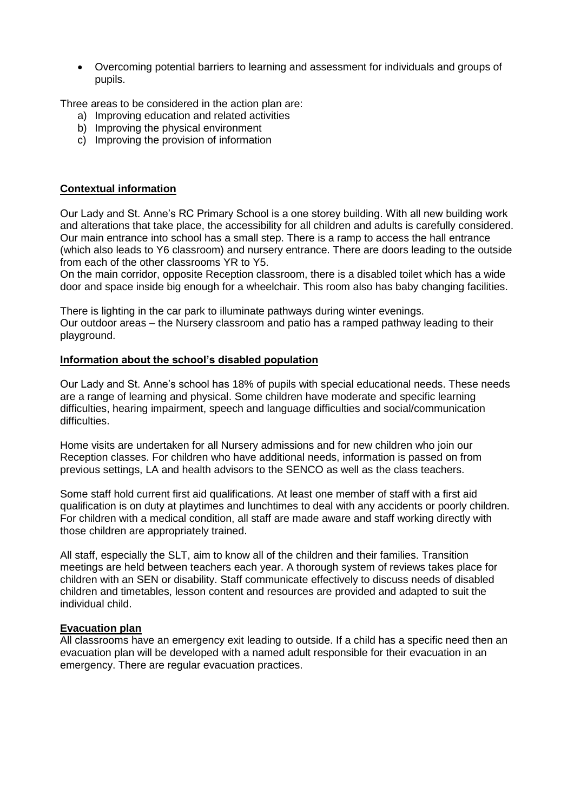Overcoming potential barriers to learning and assessment for individuals and groups of pupils.

Three areas to be considered in the action plan are:

- a) Improving education and related activities
- b) Improving the physical environment
- c) Improving the provision of information

## **Contextual information**

Our Lady and St. Anne's RC Primary School is a one storey building. With all new building work and alterations that take place, the accessibility for all children and adults is carefully considered. Our main entrance into school has a small step. There is a ramp to access the hall entrance (which also leads to Y6 classroom) and nursery entrance. There are doors leading to the outside from each of the other classrooms YR to Y5.

On the main corridor, opposite Reception classroom, there is a disabled toilet which has a wide door and space inside big enough for a wheelchair. This room also has baby changing facilities.

There is lighting in the car park to illuminate pathways during winter evenings. Our outdoor areas – the Nursery classroom and patio has a ramped pathway leading to their playground.

## **Information about the school's disabled population**

Our Lady and St. Anne's school has 18% of pupils with special educational needs. These needs are a range of learning and physical. Some children have moderate and specific learning difficulties, hearing impairment, speech and language difficulties and social/communication difficulties.

Home visits are undertaken for all Nursery admissions and for new children who join our Reception classes. For children who have additional needs, information is passed on from previous settings, LA and health advisors to the SENCO as well as the class teachers.

Some staff hold current first aid qualifications. At least one member of staff with a first aid qualification is on duty at playtimes and lunchtimes to deal with any accidents or poorly children. For children with a medical condition, all staff are made aware and staff working directly with those children are appropriately trained.

All staff, especially the SLT, aim to know all of the children and their families. Transition meetings are held between teachers each year. A thorough system of reviews takes place for children with an SEN or disability. Staff communicate effectively to discuss needs of disabled children and timetables, lesson content and resources are provided and adapted to suit the individual child.

## **Evacuation plan**

All classrooms have an emergency exit leading to outside. If a child has a specific need then an evacuation plan will be developed with a named adult responsible for their evacuation in an emergency. There are regular evacuation practices.